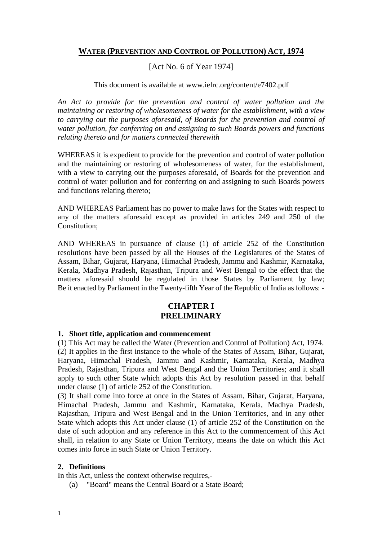## **WATER (PREVENTION AND CONTROL OF POLLUTION) ACT, 1974**

## [Act No. 6 of Year 1974]

#### This document is available at www.ielrc.org/content/e7402.pdf

*An Act to provide for the prevention and control of water pollution and the maintaining or restoring of wholesomeness of water for the establishment, with a view to carrying out the purposes aforesaid, of Boards for the prevention and control of water pollution, for conferring on and assigning to such Boards powers and functions relating thereto and for matters connected therewith* 

WHEREAS it is expedient to provide for the prevention and control of water pollution and the maintaining or restoring of wholesomeness of water, for the establishment, with a view to carrying out the purposes aforesaid, of Boards for the prevention and control of water pollution and for conferring on and assigning to such Boards powers and functions relating thereto;

AND WHEREAS Parliament has no power to make laws for the States with respect to any of the matters aforesaid except as provided in articles 249 and 250 of the Constitution:

AND WHEREAS in pursuance of clause (1) of article 252 of the Constitution resolutions have been passed by all the Houses of the Legislatures of the States of Assam, Bihar, Gujarat, Haryana, Himachal Pradesh, Jammu and Kashmir, Karnataka, Kerala, Madhya Pradesh, Rajasthan, Tripura and West Bengal to the effect that the matters aforesaid should be regulated in those States by Parliament by law; Be it enacted by Parliament in the Twenty-fifth Year of the Republic of India as follows: -

## **CHAPTER I PRELIMINARY**

#### **1. Short title, application and commencement**

(1) This Act may be called the Water (Prevention and Control of Pollution) Act, 1974. (2) It applies in the first instance to the whole of the States of Assam, Bihar, Gujarat, Haryana, Himachal Pradesh, Jammu and Kashmir, Karnataka, Kerala, Madhya Pradesh, Rajasthan, Tripura and West Bengal and the Union Territories; and it shall apply to such other State which adopts this Act by resolution passed in that behalf under clause (1) of article 252 of the Constitution.

(3) It shall come into force at once in the States of Assam, Bihar, Gujarat, Haryana, Himachal Pradesh, Jammu and Kashmir, Karnataka, Kerala, Madhya Pradesh, Rajasthan, Tripura and West Bengal and in the Union Territories, and in any other State which adopts this Act under clause (1) of article 252 of the Constitution on the date of such adoption and any reference in this Act to the commencement of this Act shall, in relation to any State or Union Territory, means the date on which this Act comes into force in such State or Union Territory.

#### **2. Definitions**

In this Act, unless the context otherwise requires,-

(a) "Board" means the Central Board or a State Board;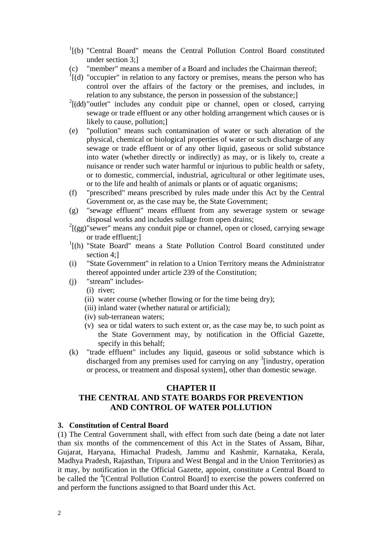- $1$ [(b) "Central Board" means the Central Pollution Control Board constituted under section 3;]
- (c) "member" means a member of a Board and includes the Chairman thereof;
- $\frac{1}{1}$ [(d) "occupier" in relation to any factory or premises, means the person who has control over the affairs of the factory or the premises, and includes, in relation to any substance, the person in possession of the substance;]
- <sup>2</sup>[(dd) "outlet" includes any conduit pipe or channel, open or closed, carrying sewage or trade effluent or any other holding arrangement which causes or is likely to cause, pollution;]
- (e) "pollution" means such contamination of water or such alteration of the physical, chemical or biological properties of water or such discharge of any sewage or trade effluent or of any other liquid, gaseous or solid substance into water (whether directly or indirectly) as may, or is likely to, create a nuisance or render such water harmful or injurious to public health or safety, or to domestic, commercial, industrial, agricultural or other legitimate uses, or to the life and health of animals or plants or of aquatic organisms;
- (f) "prescribed" means prescribed by rules made under this Act by the Central Government or, as the case may be, the State Government;
- (g) "sewage effluent" means effluent from any sewerage system or sewage disposal works and includes sullage from open drains;
- $2$ [(gg)" sewer" means any conduit pipe or channel, open or closed, carrying sewage or trade effluent;]
- <sup>1</sup>[(h) "State Board" means a State Pollution Control Board constituted under section 4;]
- (i) "State Government" in relation to a Union Territory means the Administrator thereof appointed under article 239 of the Constitution;
- (j) "stream" includes-
	- (i) river;
	- (ii) water course (whether flowing or for the time being dry);
	- (iii) inland water (whether natural or artificial);
	- (iv) sub-terranean waters;
	- (v) sea or tidal waters to such extent or, as the case may be, to such point as the State Government may, by notification in the Official Gazette, specify in this behalf;
- (k) "trade effluent" includes any liquid, gaseous or solid substance which is discharged from any premises used for carrying on any <sup>3</sup>[industry, operation or process, or treatment and disposal system], other than domestic sewage.

## **CHAPTER II**

# **THE CENTRAL AND STATE BOARDS FOR PREVENTION AND CONTROL OF WATER POLLUTION**

### **3. Constitution of Central Board**

(1) The Central Government shall, with effect from such date (being a date not later than six months of the commencement of this Act in the States of Assam, Bihar, Gujarat, Haryana, Himachal Pradesh, Jammu and Kashmir, Karnataka, Kerala, Madhya Pradesh, Rajasthan, Tripura and West Bengal and in the Union Territories) as it may, by notification in the Official Gazette, appoint, constitute a Central Board to be called the <sup>4</sup>[Central Pollution Control Board] to exercise the powers conferred on and perform the functions assigned to that Board under this Act.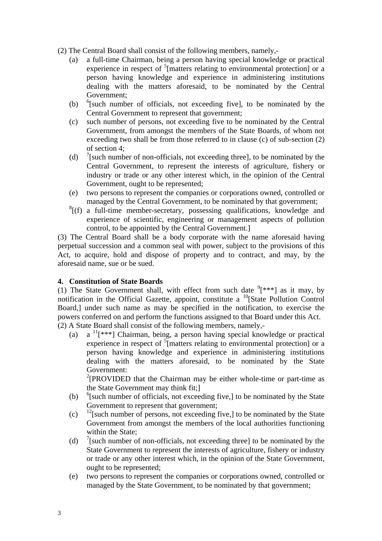- (2) The Central Board shall consist of the following members, namely,-
	- (a) a full-time Chairman, being a person having special knowledge or practical experience in respect of <sup>5</sup>[matters relating to environmental protection] or a person having knowledge and experience in administering institutions dealing with the matters aforesaid, to be nominated by the Central Government;
	- (b) <sup>6</sup> [such number of officials, not exceeding five], to be nominated by the Central Government to represent that government;
	- (c) such number of persons, not exceeding five to be nominated by the Central Government, from amongst the members of the State Boards, of whom not exceeding two shall be from those referred to in clause (c) of sub-section (2) of section 4;
	- (d) <sup>7</sup>  $\frac{7}{1}$ [such number of non-officials, not exceeding three], to be nominated by the Central Government, to represent the interests of agriculture, fishery or industry or trade or any other interest which, in the opinion of the Central Government, ought to be represented;
	- (e) two persons to represent the companies or corporations owned, controlled or managed by the Central Government, to be nominated by that government;
	- ${}^{8}$ [(f) a full-time member-secretary, possessing qualifications, knowledge and experience of scientific, engineering or management aspects of pollution control, to be appointed by the Central Government.]

(3) The Central Board shall be a body corporate with the name aforesaid having perpetual succession and a common seal with power, subject to the provisions of this Act, to acquire, hold and dispose of property and to contract, and may, by the aforesaid name, sue or be sued.

## **4. Constitution of State Boards**

(1) The State Government shall, with effect from such date  $\frac{9}{8}$ <sup>\*\*\*</sup>] as it may, by notification in the Official Gazette, appoint, constitute a  $^{10}$ [State Pollution Control Board,] under such name as may be specified in the notification, to exercise the powers conferred on and perform the functions assigned to that Board under this Act. (2) A State Board shall consist of the following members, namely,-

(a) a  $11$ [\*\*\*] Chairman, being, a person having special knowledge or practical experience in respect of  $\frac{5}{3}$ [matters relating to environmental protection] or a person having knowledge and experience in administering institutions dealing with the matters aforesaid, to be nominated by the State Government:

 2[PROVIDED that the Chairman may be either whole-time or part-time as the State Government may think fit;]

- $(b)$  $\delta$ [such number of officials, not exceeding five,] to be nominated by the State Government to represent that government;
- (c)  $12$ [such number of persons, not exceeding five,] to be nominated by the State Government from amongst the members of the local authorities functioning within the State;
- (d) <sup>7</sup>  $\frac{1}{2}$ [such number of non-officials, not exceeding three] to be nominated by the State Government to represent the interests of agriculture, fishery or industry or trade or any other interest which, in the opinion of the State Government, ought to be represented;
- (e) two persons to represent the companies or corporations owned, controlled or managed by the State Government, to be nominated by that government;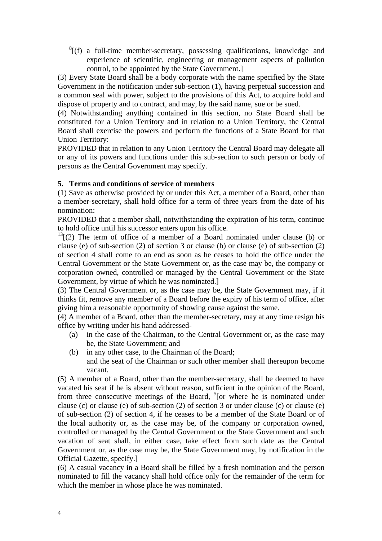${}^{8}$ [(f) a full-time member-secretary, possessing qualifications, knowledge and experience of scientific, engineering or management aspects of pollution control, to be appointed by the State Government.]

(3) Every State Board shall be a body corporate with the name specified by the State Government in the notification under sub-section (1), having perpetual succession and a common seal with power, subject to the provisions of this Act, to acquire hold and dispose of property and to contract, and may, by the said name, sue or be sued.

(4) Notwithstanding anything contained in this section, no State Board shall be constituted for a Union Territory and in relation to a Union Territory, the Central Board shall exercise the powers and perform the functions of a State Board for that Union Territory:

PROVIDED that in relation to any Union Territory the Central Board may delegate all or any of its powers and functions under this sub-section to such person or body of persons as the Central Government may specify.

## **5. Terms and conditions of service of members**

(1) Save as otherwise provided by or under this Act, a member of a Board, other than a member-secretary, shall hold office for a term of three years from the date of his nomination:

PROVIDED that a member shall, notwithstanding the expiration of his term, continue to hold office until his successor enters upon his office.

 $13$ [(2) The term of office of a member of a Board nominated under clause (b) or clause (e) of sub-section (2) of section 3 or clause (b) or clause (e) of sub-section (2) of section 4 shall come to an end as soon as he ceases to hold the office under the Central Government or the State Government or, as the case may be, the company or corporation owned, controlled or managed by the Central Government or the State Government, by virtue of which he was nominated.]

(3) The Central Government or, as the case may be, the State Government may, if it thinks fit, remove any member of a Board before the expiry of his term of office, after giving him a reasonable opportunity of showing cause against the same.

(4) A member of a Board, other than the member-secretary, may at any time resign his office by writing under his hand addressed-

- (a) in the case of the Chairman, to the Central Government or, as the case may be, the State Government; and
- (b) in any other case, to the Chairman of the Board; and the seat of the Chairman or such other member shall thereupon become vacant.

(5) A member of a Board, other than the member-secretary, shall be deemed to have vacated his seat if he is absent without reason, sufficient in the opinion of the Board, from three consecutive meetings of the Board,  $5$  [or where he is nominated under clause (c) or clause (e) of sub-section (2) of section 3 or under clause (c) or clause (e) of sub-section (2) of section 4, if he ceases to be a member of the State Board or of the local authority or, as the case may be, of the company or corporation owned, controlled or managed by the Central Government or the State Government and such vacation of seat shall, in either case, take effect from such date as the Central Government or, as the case may be, the State Government may, by notification in the Official Gazette, specify.]

(6) A casual vacancy in a Board shall be filled by a fresh nomination and the person nominated to fill the vacancy shall hold office only for the remainder of the term for which the member in whose place he was nominated.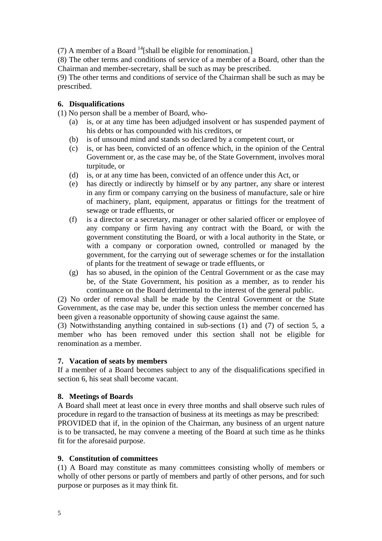(7) A member of a Board  $14$ [shall be eligible for renomination.]

(8) The other terms and conditions of service of a member of a Board, other than the Chairman and member-secretary, shall be such as may be prescribed.

(9) The other terms and conditions of service of the Chairman shall be such as may be prescribed.

## **6. Disqualifications**

(1) No person shall be a member of Board, who-

- (a) is, or at any time has been adjudged insolvent or has suspended payment of his debts or has compounded with his creditors, or
- (b) is of unsound mind and stands so declared by a competent court, or
- (c) is, or has been, convicted of an offence which, in the opinion of the Central Government or, as the case may be, of the State Government, involves moral turpitude, or
- (d) is, or at any time has been, convicted of an offence under this Act, or
- (e) has directly or indirectly by himself or by any partner, any share or interest in any firm or company carrying on the business of manufacture, sale or hire of machinery, plant, equipment, apparatus or fittings for the treatment of sewage or trade effluents, or
- (f) is a director or a secretary, manager or other salaried officer or employee of any company or firm having any contract with the Board, or with the government constituting the Board, or with a local authority in the State, or with a company or corporation owned, controlled or managed by the government, for the carrying out of sewerage schemes or for the installation of plants for the treatment of sewage or trade effluents, or
- (g) has so abused, in the opinion of the Central Government or as the case may be, of the State Government, his position as a member, as to render his continuance on the Board detrimental to the interest of the general public.

(2) No order of removal shall be made by the Central Government or the State Government, as the case may be, under this section unless the member concerned has been given a reasonable opportunity of showing cause against the same.

(3) Notwithstanding anything contained in sub-sections (1) and (7) of section 5, a member who has been removed under this section shall not be eligible for renomination as a member.

### **7. Vacation of seats by members**

If a member of a Board becomes subject to any of the disqualifications specified in section 6, his seat shall become vacant.

## **8. Meetings of Boards**

A Board shall meet at least once in every three months and shall observe such rules of procedure in regard to the transaction of business at its meetings as may be prescribed: PROVIDED that if, in the opinion of the Chairman, any business of an urgent nature is to be transacted, he may convene a meeting of the Board at such time as he thinks fit for the aforesaid purpose.

## **9. Constitution of committees**

(1) A Board may constitute as many committees consisting wholly of members or wholly of other persons or partly of members and partly of other persons, and for such purpose or purposes as it may think fit.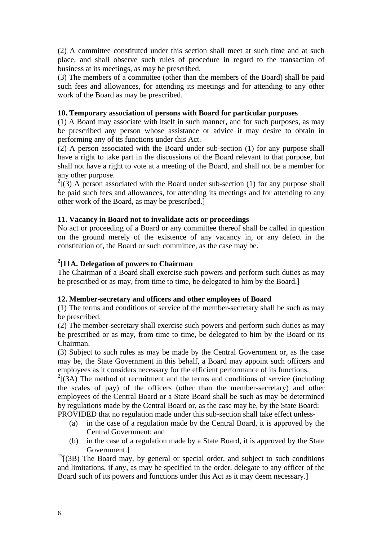(2) A committee constituted under this section shall meet at such time and at such place, and shall observe such rules of procedure in regard to the transaction of business at its meetings, as may be prescribed.

(3) The members of a committee (other than the members of the Board) shall be paid such fees and allowances, for attending its meetings and for attending to any other work of the Board as may be prescribed.

### **10. Temporary association of persons with Board for particular purposes**

(1) A Board may associate with itself in such manner, and for such purposes, as may be prescribed any person whose assistance or advice it may desire to obtain in performing any of its functions under this Act.

(2) A person associated with the Board under sub-section (1) for any purpose shall have a right to take part in the discussions of the Board relevant to that purpose, but shall not have a right to vote at a meeting of the Board, and shall not be a member for any other purpose.

 $2(3)$  A person associated with the Board under sub-section (1) for any purpose shall be paid such fees and allowances, for attending its meetings and for attending to any other work of the Board, as may be prescribed.]

## **11. Vacancy in Board not to invalidate acts or proceedings**

No act or proceeding of a Board or any committee thereof shall be called in question on the ground merely of the existence of any vacancy in, or any defect in the constitution of, the Board or such committee, as the case may be.

# **2 [11A. Delegation of powers to Chairman**

The Chairman of a Board shall exercise such powers and perform such duties as may be prescribed or as may, from time to time, be delegated to him by the Board.]

### **12. Member-secretary and officers and other employees of Board**

(1) The terms and conditions of service of the member-secretary shall be such as may be prescribed.

(2) The member-secretary shall exercise such powers and perform such duties as may be prescribed or as may, from time to time, be delegated to him by the Board or its Chairman.

(3) Subject to such rules as may be made by the Central Government or, as the case may be, the State Government in this behalf, a Board may appoint such officers and employees as it considers necessary for the efficient performance of its functions.

 $2[(3A)$  The method of recruitment and the terms and conditions of service (including the scales of pay) of the officers (other than the member-secretary) and other employees of the Central Board or a State Board shall be such as may be determined by regulations made by the Central Board or, as the case may be, by the State Board: PROVIDED that no regulation made under this sub-section shall take effect unless-

- (a) in the case of a regulation made by the Central Board, it is approved by the Central Government; and
- (b) in the case of a regulation made by a State Board, it is approved by the State Government.]

 $15$ [(3B) The Board may, by general or special order, and subject to such conditions and limitations, if any, as may be specified in the order, delegate to any officer of the Board such of its powers and functions under this Act as it may deem necessary.]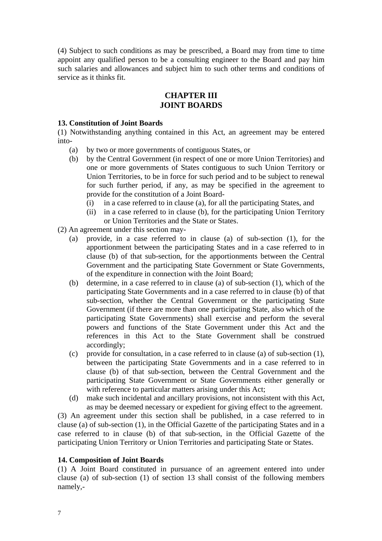(4) Subject to such conditions as may be prescribed, a Board may from time to time appoint any qualified person to be a consulting engineer to the Board and pay him such salaries and allowances and subject him to such other terms and conditions of service as it thinks fit.

## **CHAPTER III JOINT BOARDS**

#### **13. Constitution of Joint Boards**

(1) Notwithstanding anything contained in this Act, an agreement may be entered into-

- (a) by two or more governments of contiguous States, or
- (b) by the Central Government (in respect of one or more Union Territories) and one or more governments of States contiguous to such Union Territory or Union Territories, to be in force for such period and to be subject to renewal for such further period, if any, as may be specified in the agreement to provide for the constitution of a Joint Board-
	- (i) in a case referred to in clause (a), for all the participating States, and
	- (ii) in a case referred to in clause (b), for the participating Union Territory or Union Territories and the State or States.
- (2) An agreement under this section may-
	- (a) provide, in a case referred to in clause (a) of sub-section (1), for the apportionment between the participating States and in a case referred to in clause (b) of that sub-section, for the apportionments between the Central Government and the participating State Government or State Governments, of the expenditure in connection with the Joint Board;
	- (b) determine, in a case referred to in clause (a) of sub-section (1), which of the participating State Governments and in a case referred to in clause (b) of that sub-section, whether the Central Government or the participating State Government (if there are more than one participating State, also which of the participating State Governments) shall exercise and perform the several powers and functions of the State Government under this Act and the references in this Act to the State Government shall be construed accordingly;
	- (c) provide for consultation, in a case referred to in clause (a) of sub-section (1), between the participating State Governments and in a case referred to in clause (b) of that sub-section, between the Central Government and the participating State Government or State Governments either generally or with reference to particular matters arising under this Act;
	- (d) make such incidental and ancillary provisions, not inconsistent with this Act, as may be deemed necessary or expedient for giving effect to the agreement.

(3) An agreement under this section shall be published, in a case referred to in clause (a) of sub-section (1), in the Official Gazette of the participating States and in a case referred to in clause (b) of that sub-section, in the Official Gazette of the participating Union Territory or Union Territories and participating State or States.

## **14. Composition of Joint Boards**

(1) A Joint Board constituted in pursuance of an agreement entered into under clause (a) of sub-section (1) of section 13 shall consist of the following members namely,-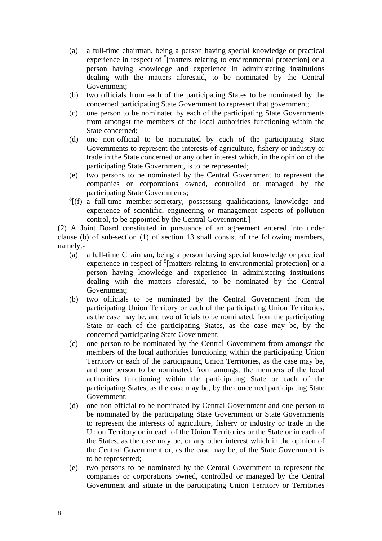- (a) a full-time chairman, being a person having special knowledge or practical experience in respect of <sup>5</sup>[matters relating to environmental protection] or a person having knowledge and experience in administering institutions dealing with the matters aforesaid, to be nominated by the Central Government;
- (b) two officials from each of the participating States to be nominated by the concerned participating State Government to represent that government;
- (c) one person to be nominated by each of the participating State Governments from amongst the members of the local authorities functioning within the State concerned;
- (d) one non-official to be nominated by each of the participating State Governments to represent the interests of agriculture, fishery or industry or trade in the State concerned or any other interest which, in the opinion of the participating State Government, is to be represented;
- (e) two persons to be nominated by the Central Government to represent the companies or corporations owned, controlled or managed by the participating State Governments;
- ${}^{8}$ [(f) a full-time member-secretary, possessing qualifications, knowledge and experience of scientific, engineering or management aspects of pollution control, to be appointed by the Central Government.]

(2) A Joint Board constituted in pursuance of an agreement entered into under clause (b) of sub-section (1) of section 13 shall consist of the following members, namely,-

- (a) a full-time Chairman, being a person having special knowledge or practical experience in respect of <sup>5</sup>[matters relating to environmental protection] or a person having knowledge and experience in administering institutions dealing with the matters aforesaid, to be nominated by the Central Government;
- (b) two officials to be nominated by the Central Government from the participating Union Territory or each of the participating Union Territories, as the case may be, and two officials to be nominated, from the participating State or each of the participating States, as the case may be, by the concerned participating State Government;
- (c) one person to be nominated by the Central Government from amongst the members of the local authorities functioning within the participating Union Territory or each of the participating Union Territories, as the case may be, and one person to be nominated, from amongst the members of the local authorities functioning within the participating State or each of the participating States, as the case may be, by the concerned participating State Government;
- (d) one non-official to be nominated by Central Government and one person to be nominated by the participating State Government or State Governments to represent the interests of agriculture, fishery or industry or trade in the Union Territory or in each of the Union Territories or the State or in each of the States, as the case may be, or any other interest which in the opinion of the Central Government or, as the case may be, of the State Government is to be represented;
- (e) two persons to be nominated by the Central Government to represent the companies or corporations owned, controlled or managed by the Central Government and situate in the participating Union Territory or Territories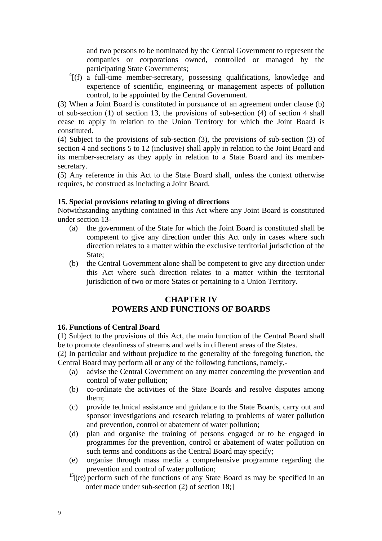and two persons to be nominated by the Central Government to represent the companies or corporations owned, controlled or managed by the participating State Governments;

<sup>4</sup>[(f) a full-time member-secretary, possessing qualifications, knowledge and experience of scientific, engineering or management aspects of pollution control, to be appointed by the Central Government.

(3) When a Joint Board is constituted in pursuance of an agreement under clause (b) of sub-section (1) of section 13, the provisions of sub-section (4) of section 4 shall cease to apply in relation to the Union Territory for which the Joint Board is constituted.

(4) Subject to the provisions of sub-section (3), the provisions of sub-section (3) of section 4 and sections 5 to 12 (inclusive) shall apply in relation to the Joint Board and its member-secretary as they apply in relation to a State Board and its membersecretary.

(5) Any reference in this Act to the State Board shall, unless the context otherwise requires, be construed as including a Joint Board.

### **15. Special provisions relating to giving of directions**

Notwithstanding anything contained in this Act where any Joint Board is constituted under section 13-

- (a) the government of the State for which the Joint Board is constituted shall be competent to give any direction under this Act only in cases where such direction relates to a matter within the exclusive territorial jurisdiction of the State;
- (b) the Central Government alone shall be competent to give any direction under this Act where such direction relates to a matter within the territorial jurisdiction of two or more States or pertaining to a Union Territory.

# **CHAPTER IV POWERS AND FUNCTIONS OF BOARDS**

#### **16. Functions of Central Board**

(1) Subject to the provisions of this Act, the main function of the Central Board shall be to promote cleanliness of streams and wells in different areas of the States.

(2) In particular and without prejudice to the generality of the foregoing function, the Central Board may perform all or any of the following functions, namely,-

- (a) advise the Central Government on any matter concerning the prevention and control of water pollution;
- (b) co-ordinate the activities of the State Boards and resolve disputes among them;
- (c) provide technical assistance and guidance to the State Boards, carry out and sponsor investigations and research relating to problems of water pollution and prevention, control or abatement of water pollution;
- (d) plan and organise the training of persons engaged or to be engaged in programmes for the prevention, control or abatement of water pollution on such terms and conditions as the Central Board may specify;
- (e) organise through mass media a comprehensive programme regarding the prevention and control of water pollution;
- $<sup>15</sup>$ [(ee) perform such of the functions of any State Board as may be specified in an</sup> order made under sub-section (2) of section 18;]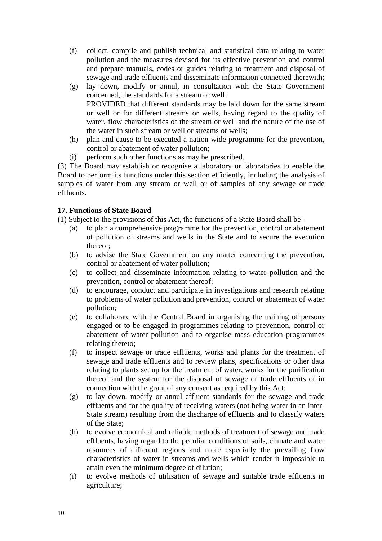- (f) collect, compile and publish technical and statistical data relating to water pollution and the measures devised for its effective prevention and control and prepare manuals, codes or guides relating to treatment and disposal of sewage and trade effluents and disseminate information connected therewith;
- (g) lay down, modify or annul, in consultation with the State Government concerned, the standards for a stream or well: PROVIDED that different standards may be laid down for the same stream or well or for different streams or wells, having regard to the quality of water, flow characteristics of the stream or well and the nature of the use of the water in such stream or well or streams or wells;
- (h) plan and cause to be executed a nation-wide programme for the prevention, control or abatement of water pollution;
- (i) perform such other functions as may be prescribed.

(3) The Board may establish or recognise a laboratory or laboratories to enable the Board to perform its functions under this section efficiently, including the analysis of samples of water from any stream or well or of samples of any sewage or trade effluents.

## **17. Functions of State Board**

(1) Subject to the provisions of this Act, the functions of a State Board shall be-

- (a) to plan a comprehensive programme for the prevention, control or abatement of pollution of streams and wells in the State and to secure the execution thereof;
- (b) to advise the State Government on any matter concerning the prevention, control or abatement of water pollution;
- (c) to collect and disseminate information relating to water pollution and the prevention, control or abatement thereof;
- (d) to encourage, conduct and participate in investigations and research relating to problems of water pollution and prevention, control or abatement of water pollution;
- (e) to collaborate with the Central Board in organising the training of persons engaged or to be engaged in programmes relating to prevention, control or abatement of water pollution and to organise mass education programmes relating thereto;
- (f) to inspect sewage or trade effluents, works and plants for the treatment of sewage and trade effluents and to review plans, specifications or other data relating to plants set up for the treatment of water, works for the purification thereof and the system for the disposal of sewage or trade effluents or in connection with the grant of any consent as required by this Act;
- (g) to lay down, modify or annul effluent standards for the sewage and trade effluents and for the quality of receiving waters (not being water in an inter-State stream) resulting from the discharge of effluents and to classify waters of the State;
- (h) to evolve economical and reliable methods of treatment of sewage and trade effluents, having regard to the peculiar conditions of soils, climate and water resources of different regions and more especially the prevailing flow characteristics of water in streams and wells which render it impossible to attain even the minimum degree of dilution;
- (i) to evolve methods of utilisation of sewage and suitable trade effluents in agriculture;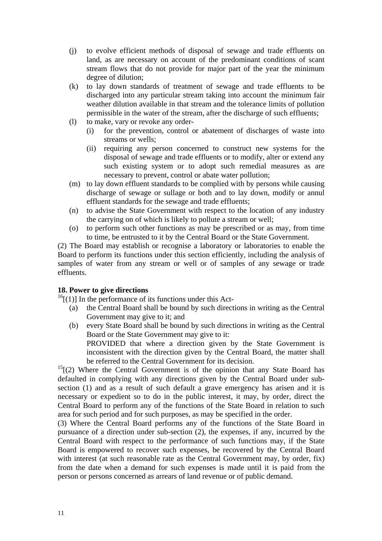- (j) to evolve efficient methods of disposal of sewage and trade effluents on land, as are necessary on account of the predominant conditions of scant stream flows that do not provide for major part of the year the minimum degree of dilution;
- (k) to lay down standards of treatment of sewage and trade effluents to be discharged into any particular stream taking into account the minimum fair weather dilution available in that stream and the tolerance limits of pollution permissible in the water of the stream, after the discharge of such effluents;
- (l) to make, vary or revoke any order-
	- (i) for the prevention, control or abatement of discharges of waste into streams or wells;
	- (ii) requiring any person concerned to construct new systems for the disposal of sewage and trade effluents or to modify, alter or extend any such existing system or to adopt such remedial measures as are necessary to prevent, control or abate water pollution;
- (m) to lay down effluent standards to be complied with by persons while causing discharge of sewage or sullage or both and to lay down, modify or annul effluent standards for the sewage and trade effluents;
- (n) to advise the State Government with respect to the location of any industry the carrying on of which is likely to pollute a stream or well;
- (o) to perform such other functions as may be prescribed or as may, from time to time, be entrusted to it by the Central Board or the State Government.

(2) The Board may establish or recognise a laboratory or laboratories to enable the Board to perform its functions under this section efficiently, including the analysis of samples of water from any stream or well or of samples of any sewage or trade effluents.

## **18. Power to give directions**

 $^{16}$ [(1)] In the performance of its functions under this Act-

- (a) the Central Board shall be bound by such directions in writing as the Central Government may give to it; and
- (b) every State Board shall be bound by such directions in writing as the Central Board or the State Government may give to it: PROVIDED that where a direction given by the State Government is inconsistent with the direction given by the Central Board, the matter shall be referred to the Central Government for its decision.

 $15$ [(2) Where the Central Government is of the opinion that any State Board has defaulted in complying with any directions given by the Central Board under subsection (1) and as a result of such default a grave emergency has arisen and it is necessary or expedient so to do in the public interest, it may, by order, direct the Central Board to perform any of the functions of the State Board in relation to such area for such period and for such purposes, as may be specified in the order.

(3) Where the Central Board performs any of the functions of the State Board in pursuance of a direction under sub-section (2), the expenses, if any, incurred by the Central Board with respect to the performance of such functions may, if the State Board is empowered to recover such expenses, be recovered by the Central Board with interest (at such reasonable rate as the Central Government may, by order, fix) from the date when a demand for such expenses is made until it is paid from the person or persons concerned as arrears of land revenue or of public demand.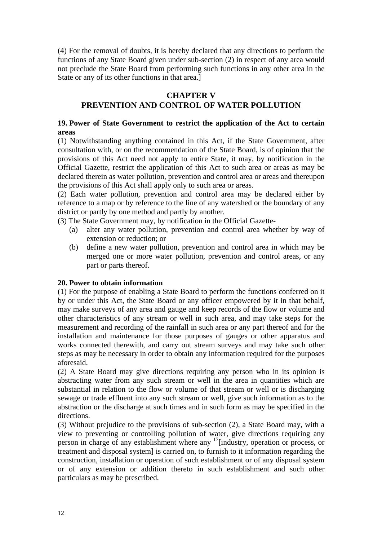(4) For the removal of doubts, it is hereby declared that any directions to perform the functions of any State Board given under sub-section (2) in respect of any area would not preclude the State Board from performing such functions in any other area in the State or any of its other functions in that area.]

## **CHAPTER V**

# **PREVENTION AND CONTROL OF WATER POLLUTION**

### **19. Power of State Government to restrict the application of the Act to certain areas**

(1) Notwithstanding anything contained in this Act, if the State Government, after consultation with, or on the recommendation of the State Board, is of opinion that the provisions of this Act need not apply to entire State, it may, by notification in the Official Gazette, restrict the application of this Act to such area or areas as may be declared therein as water pollution, prevention and control area or areas and thereupon the provisions of this Act shall apply only to such area or areas.

(2) Each water pollution, prevention and control area may be declared either by reference to a map or by reference to the line of any watershed or the boundary of any district or partly by one method and partly by another.

(3) The State Government may, by notification in the Official Gazette-

- (a) alter any water pollution, prevention and control area whether by way of extension or reduction; or
- (b) define a new water pollution, prevention and control area in which may be merged one or more water pollution, prevention and control areas, or any part or parts thereof.

## **20. Power to obtain information**

(1) For the purpose of enabling a State Board to perform the functions conferred on it by or under this Act, the State Board or any officer empowered by it in that behalf, may make surveys of any area and gauge and keep records of the flow or volume and other characteristics of any stream or well in such area, and may take steps for the measurement and recording of the rainfall in such area or any part thereof and for the installation and maintenance for those purposes of gauges or other apparatus and works connected therewith, and carry out stream surveys and may take such other steps as may be necessary in order to obtain any information required for the purposes aforesaid.

(2) A State Board may give directions requiring any person who in its opinion is abstracting water from any such stream or well in the area in quantities which are substantial in relation to the flow or volume of that stream or well or is discharging sewage or trade effluent into any such stream or well, give such information as to the abstraction or the discharge at such times and in such form as may be specified in the directions.

(3) Without prejudice to the provisions of sub-section (2), a State Board may, with a view to preventing or controlling pollution of water, give directions requiring any person in charge of any establishment where any 17[industry, operation or process, or treatment and disposal system] is carried on, to furnish to it information regarding the construction, installation or operation of such establishment or of any disposal system or of any extension or addition thereto in such establishment and such other particulars as may be prescribed.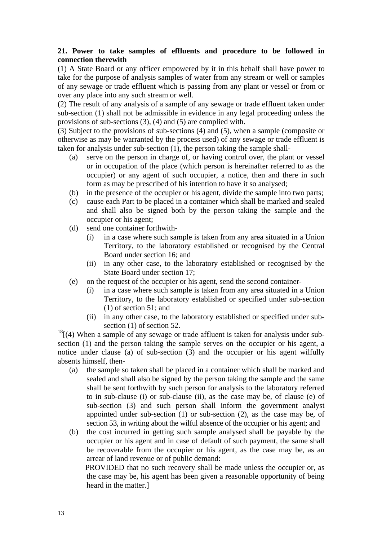## **21. Power to take samples of effluents and procedure to be followed in connection therewith**

(1) A State Board or any officer empowered by it in this behalf shall have power to take for the purpose of analysis samples of water from any stream or well or samples of any sewage or trade effluent which is passing from any plant or vessel or from or over any place into any such stream or well.

(2) The result of any analysis of a sample of any sewage or trade effluent taken under sub-section (1) shall not be admissible in evidence in any legal proceeding unless the provisions of sub-sections (3), (4) and (5) are complied with.

(3) Subject to the provisions of sub-sections (4) and (5), when a sample (composite or otherwise as may be warranted by the process used) of any sewage or trade effluent is taken for analysis under sub-section (1), the person taking the sample shall-

- (a) serve on the person in charge of, or having control over, the plant or vessel or in occupation of the place (which person is hereinafter referred to as the occupier) or any agent of such occupier, a notice, then and there in such form as may be prescribed of his intention to have it so analysed;
- (b) in the presence of the occupier or his agent, divide the sample into two parts;
- (c) cause each Part to be placed in a container which shall be marked and sealed and shall also be signed both by the person taking the sample and the occupier or his agent;
- (d) send one container forthwith-
	- (i) in a case where such sample is taken from any area situated in a Union Territory, to the laboratory established or recognised by the Central Board under section 16; and
	- (ii) in any other case, to the laboratory established or recognised by the State Board under section 17;
- (e) on the request of the occupier or his agent, send the second container-
	- (i) in a case where such sample is taken from any area situated in a Union Territory, to the laboratory established or specified under sub-section (1) of section 51; and
	- (ii) in any other case, to the laboratory established or specified under subsection (1) of section 52.

 $18$ [(4) When a sample of any sewage or trade affluent is taken for analysis under subsection (1) and the person taking the sample serves on the occupier or his agent, a notice under clause (a) of sub-section (3) and the occupier or his agent wilfully absents himself, then-

- (a) the sample so taken shall be placed in a container which shall be marked and sealed and shall also be signed by the person taking the sample and the same shall be sent forthwith by such person for analysis to the laboratory referred to in sub-clause (i) or sub-clause (ii), as the case may be, of clause (e) of sub-section (3) and such person shall inform the government analyst appointed under sub-section (1) or sub-section (2), as the case may be, of section 53, in writing about the wilful absence of the occupier or his agent; and
- (b) the cost incurred in getting such sample analysed shall be payable by the occupier or his agent and in case of default of such payment, the same shall be recoverable from the occupier or his agent, as the case may be, as an arrear of land revenue or of public demand:

 PROVIDED that no such recovery shall be made unless the occupier or, as the case may be, his agent has been given a reasonable opportunity of being heard in the matter.]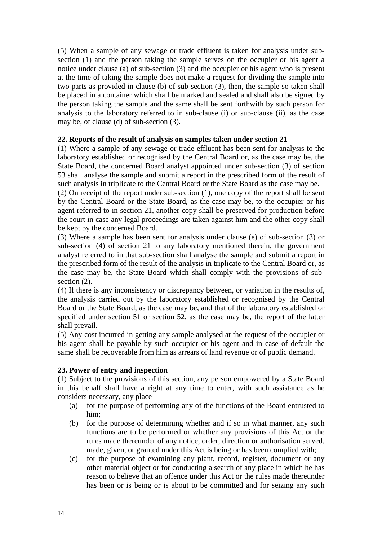(5) When a sample of any sewage or trade effluent is taken for analysis under subsection (1) and the person taking the sample serves on the occupier or his agent a notice under clause (a) of sub-section (3) and the occupier or his agent who is present at the time of taking the sample does not make a request for dividing the sample into two parts as provided in clause (b) of sub-section (3), then, the sample so taken shall be placed in a container which shall be marked and sealed and shall also be signed by the person taking the sample and the same shall be sent forthwith by such person for analysis to the laboratory referred to in sub-clause (i) or sub-clause (ii), as the case may be, of clause (d) of sub-section (3).

## **22. Reports of the result of analysis on samples taken under section 21**

(1) Where a sample of any sewage or trade effluent has been sent for analysis to the laboratory established or recognised by the Central Board or, as the case may be, the State Board, the concerned Board analyst appointed under sub-section (3) of section 53 shall analyse the sample and submit a report in the prescribed form of the result of such analysis in triplicate to the Central Board or the State Board as the case may be.

(2) On receipt of the report under sub-section (1), one copy of the report shall be sent by the Central Board or the State Board, as the case may be, to the occupier or his agent referred to in section 21, another copy shall be preserved for production before the court in case any legal proceedings are taken against him and the other copy shall be kept by the concerned Board.

(3) Where a sample has been sent for analysis under clause (e) of sub-section (3) or sub-section (4) of section 21 to any laboratory mentioned therein, the government analyst referred to in that sub-section shall analyse the sample and submit a report in the prescribed form of the result of the analysis in triplicate to the Central Board or, as the case may be, the State Board which shall comply with the provisions of subsection  $(2)$ .

(4) If there is any inconsistency or discrepancy between, or variation in the results of, the analysis carried out by the laboratory established or recognised by the Central Board or the State Board, as the case may be, and that of the laboratory established or specified under section 51 or section 52, as the case may be, the report of the latter shall prevail.

(5) Any cost incurred in getting any sample analysed at the request of the occupier or his agent shall be payable by such occupier or his agent and in case of default the same shall be recoverable from him as arrears of land revenue or of public demand.

### **23. Power of entry and inspection**

(1) Subject to the provisions of this section, any person empowered by a State Board in this behalf shall have a right at any time to enter, with such assistance as he considers necessary, any place-

- (a) for the purpose of performing any of the functions of the Board entrusted to him;
- (b) for the purpose of determining whether and if so in what manner, any such functions are to be performed or whether any provisions of this Act or the rules made thereunder of any notice, order, direction or authorisation served, made, given, or granted under this Act is being or has been complied with;
- (c) for the purpose of examining any plant, record, register, document or any other material object or for conducting a search of any place in which he has reason to believe that an offence under this Act or the rules made thereunder has been or is being or is about to be committed and for seizing any such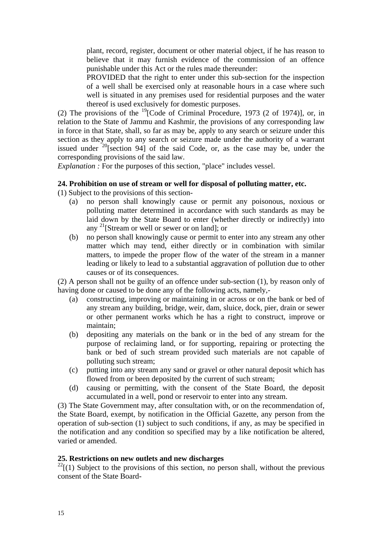plant, record, register, document or other material object, if he has reason to believe that it may furnish evidence of the commission of an offence punishable under this Act or the rules made thereunder:

 PROVIDED that the right to enter under this sub-section for the inspection of a well shall be exercised only at reasonable hours in a case where such well is situated in any premises used for residential purposes and the water thereof is used exclusively for domestic purposes.

(2) The provisions of the  $^{19}$ [Code of Criminal Procedure, 1973 (2 of 1974)], or, in relation to the State of Jammu and Kashmir, the provisions of any corresponding law in force in that State, shall, so far as may be, apply to any search or seizure under this section as they apply to any search or seizure made under the authority of a warrant issued under  $20$ [section 94] of the said Code, or, as the case may be, under the corresponding provisions of the said law.

*Explanation :* For the purposes of this section, "place" includes vessel.

### **24. Prohibition on use of stream or well for disposal of polluting matter, etc.**

(1) Subject to the provisions of this section-

- (a) no person shall knowingly cause or permit any poisonous, noxious or polluting matter determined in accordance with such standards as may be laid down by the State Board to enter (whether directly or indirectly) into any <sup>21</sup>[Stream or well or sewer or on land]; or
- (b) no person shall knowingly cause or permit to enter into any stream any other matter which may tend, either directly or in combination with similar matters, to impede the proper flow of the water of the stream in a manner leading or likely to lead to a substantial aggravation of pollution due to other causes or of its consequences.

(2) A person shall not be guilty of an offence under sub-section (1), by reason only of having done or caused to be done any of the following acts, namely,-

- (a) constructing, improving or maintaining in or across or on the bank or bed of any stream any building, bridge, weir, dam, sluice, dock, pier, drain or sewer or other permanent works which he has a right to construct, improve or maintain;
- (b) depositing any materials on the bank or in the bed of any stream for the purpose of reclaiming land, or for supporting, repairing or protecting the bank or bed of such stream provided such materials are not capable of polluting such stream;
- (c) putting into any stream any sand or gravel or other natural deposit which has flowed from or been deposited by the current of such stream;
- (d) causing or permitting, with the consent of the State Board, the deposit accumulated in a well, pond or reservoir to enter into any stream.

(3) The State Government may, after consultation with, or on the recommendation of, the State Board, exempt, by notification in the Official Gazette, any person from the operation of sub-section (1) subject to such conditions, if any, as may be specified in the notification and any condition so specified may by a like notification be altered, varied or amended.

#### **25. Restrictions on new outlets and new discharges**

 $2^{22}$ [(1) Subject to the provisions of this section, no person shall, without the previous consent of the State Board-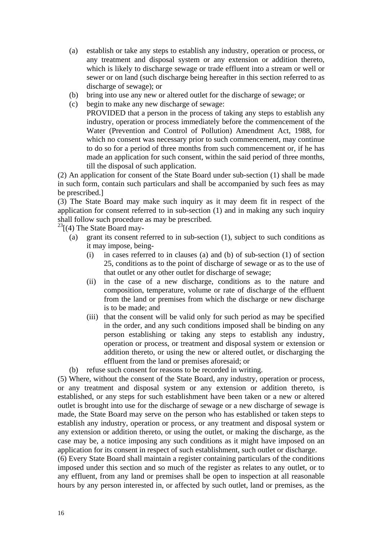- (a) establish or take any steps to establish any industry, operation or process, or any treatment and disposal system or any extension or addition thereto, which is likely to discharge sewage or trade effluent into a stream or well or sewer or on land (such discharge being hereafter in this section referred to as discharge of sewage); or
- (b) bring into use any new or altered outlet for the discharge of sewage; or
- (c) begin to make any new discharge of sewage: PROVIDED that a person in the process of taking any steps to establish any industry, operation or process immediately before the commencement of the Water (Prevention and Control of Pollution) Amendment Act, 1988, for which no consent was necessary prior to such commencement, may continue to do so for a period of three months from such commencement or, if he has made an application for such consent, within the said period of three months, till the disposal of such application.

(2) An application for consent of the State Board under sub-section (1) shall be made in such form, contain such particulars and shall be accompanied by such fees as may be prescribed.]

(3) The State Board may make such inquiry as it may deem fit in respect of the application for consent referred to in sub-section (1) and in making any such inquiry shall follow such procedure as may be prescribed.

 $23$ [(4) The State Board may-

- (a) grant its consent referred to in sub-section (1), subject to such conditions as it may impose, being-
	- (i) in cases referred to in clauses (a) and (b) of sub-section (1) of section 25, conditions as to the point of discharge of sewage or as to the use of that outlet or any other outlet for discharge of sewage;
	- (ii) in the case of a new discharge, conditions as to the nature and composition, temperature, volume or rate of discharge of the effluent from the land or premises from which the discharge or new discharge is to be made; and
	- (iii) that the consent will be valid only for such period as may be specified in the order, and any such conditions imposed shall be binding on any person establishing or taking any steps to establish any industry, operation or process, or treatment and disposal system or extension or addition thereto, or using the new or altered outlet, or discharging the effluent from the land or premises aforesaid; or

(b) refuse such consent for reasons to be recorded in writing.

(5) Where, without the consent of the State Board, any industry, operation or process, or any treatment and disposal system or any extension or addition thereto, is established, or any steps for such establishment have been taken or a new or altered outlet is brought into use for the discharge of sewage or a new discharge of sewage is made, the State Board may serve on the person who has established or taken steps to establish any industry, operation or process, or any treatment and disposal system or any extension or addition thereto, or using the outlet, or making the discharge, as the case may be, a notice imposing any such conditions as it might have imposed on an application for its consent in respect of such establishment, such outlet or discharge.

(6) Every State Board shall maintain a register containing particulars of the conditions imposed under this section and so much of the register as relates to any outlet, or to any effluent, from any land or premises shall be open to inspection at all reasonable hours by any person interested in, or affected by such outlet, land or premises, as the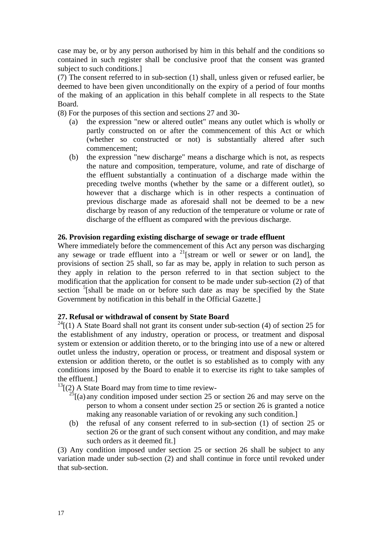case may be, or by any person authorised by him in this behalf and the conditions so contained in such register shall be conclusive proof that the consent was granted subject to such conditions.]

(7) The consent referred to in sub-section (1) shall, unless given or refused earlier, be deemed to have been given unconditionally on the expiry of a period of four months of the making of an application in this behalf complete in all respects to the State Board.

(8) For the purposes of this section and sections 27 and 30-

- (a) the expression "new or altered outlet" means any outlet which is wholly or partly constructed on or after the commencement of this Act or which (whether so constructed or not) is substantially altered after such commencement;
- (b) the expression "new discharge" means a discharge which is not, as respects the nature and composition, temperature, volume, and rate of discharge of the effluent substantially a continuation of a discharge made within the preceding twelve months (whether by the same or a different outlet), so however that a discharge which is in other respects a continuation of previous discharge made as aforesaid shall not be deemed to be a new discharge by reason of any reduction of the temperature or volume or rate of discharge of the effluent as compared with the previous discharge.

## **26. Provision regarding existing discharge of sewage or trade effluent**

Where immediately before the commencement of this Act any person was discharging any sewage or trade effluent into a  $21$ [stream or well or sewer or on land], the provisions of section 25 shall, so far as may be, apply in relation to such person as they apply in relation to the person referred to in that section subject to the modification that the application for consent to be made under sub-section (2) of that section <sup>5</sup>[shall be made on or before such date as may be specified by the State Government by notification in this behalf in the Official Gazette.]

## **27. Refusal or withdrawal of consent by State Board**

 $24$ [(1) A State Board shall not grant its consent under sub-section (4) of section 25 for the establishment of any industry, operation or process, or treatment and disposal system or extension or addition thereto, or to the bringing into use of a new or altered outlet unless the industry, operation or process, or treatment and disposal system or extension or addition thereto, or the outlet is so established as to comply with any conditions imposed by the Board to enable it to exercise its right to take samples of the effluent.]

 $13$ [(2) A State Board may from time to time review-

- ${}^{5}$ [(a) any condition imposed under section 25 or section 26 and may serve on the person to whom a consent under section 25 or section 26 is granted a notice making any reasonable variation of or revoking any such condition.]
- (b) the refusal of any consent referred to in sub-section (1) of section 25 or section 26 or the grant of such consent without any condition, and may make such orders as it deemed fit.]

(3) Any condition imposed under section 25 or section 26 shall be subject to any variation made under sub-section (2) and shall continue in force until revoked under that sub-section.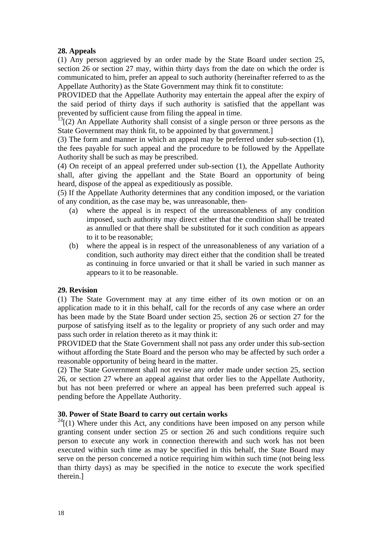## **28. Appeals**

(1) Any person aggrieved by an order made by the State Board under section 25, section 26 or section 27 may, within thirty days from the date on which the order is communicated to him, prefer an appeal to such authority (hereinafter referred to as the Appellate Authority) as the State Government may think fit to constitute:

PROVIDED that the Appellate Authority may entertain the appeal after the expiry of the said period of thirty days if such authority is satisfied that the appellant was prevented by sufficient cause from filing the appeal in time.

 $^{13}$ [(2) An Appellate Authority shall consist of a single person or three persons as the State Government may think fit, to be appointed by that government.]

(3) The form and manner in which an appeal may be preferred under sub-section (1), the fees payable for such appeal and the procedure to be followed by the Appellate Authority shall be such as may be prescribed.

(4) On receipt of an appeal preferred under sub-section (1), the Appellate Authority shall, after giving the appellant and the State Board an opportunity of being heard, dispose of the appeal as expeditiously as possible.

(5) If the Appellate Authority determines that any condition imposed, or the variation of any condition, as the case may be, was unreasonable, then-

- (a) where the appeal is in respect of the unreasonableness of any condition imposed, such authority may direct either that the condition shall be treated as annulled or that there shall be substituted for it such condition as appears to it to be reasonable;
- (b) where the appeal is in respect of the unreasonableness of any variation of a condition, such authority may direct either that the condition shall be treated as continuing in force unvaried or that it shall be varied in such manner as appears to it to be reasonable.

### **29. Revision**

(1) The State Government may at any time either of its own motion or on an application made to it in this behalf, call for the records of any case where an order has been made by the State Board under section 25, section 26 or section 27 for the purpose of satisfying itself as to the legality or propriety of any such order and may pass such order in relation thereto as it may think it:

PROVIDED that the State Government shall not pass any order under this sub-section without affording the State Board and the person who may be affected by such order a reasonable opportunity of being heard in the matter.

(2) The State Government shall not revise any order made under section 25, section 26, or section 27 where an appeal against that order lies to the Appellate Authority, but has not been preferred or where an appeal has been preferred such appeal is pending before the Appellate Authority.

### **30. Power of State Board to carry out certain works**

 $2^{24}$ [(1) Where under this Act, any conditions have been imposed on any person while granting consent under section 25 or section 26 and such conditions require such person to execute any work in connection therewith and such work has not been executed within such time as may be specified in this behalf, the State Board may serve on the person concerned a notice requiring him within such time (not being less than thirty days) as may be specified in the notice to execute the work specified therein.]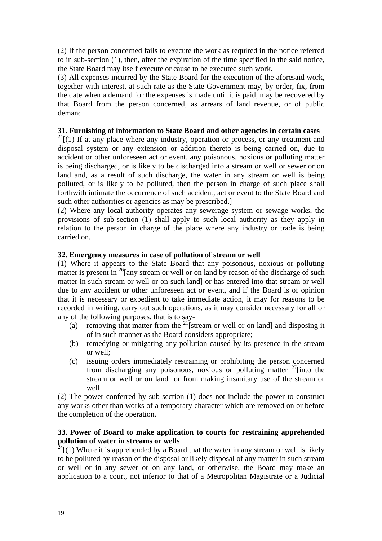(2) If the person concerned fails to execute the work as required in the notice referred to in sub-section (1), then, after the expiration of the time specified in the said notice, the State Board may itself execute or cause to be executed such work.

(3) All expenses incurred by the State Board for the execution of the aforesaid work, together with interest, at such rate as the State Government may, by order, fix, from the date when a demand for the expenses is made until it is paid, may be recovered by that Board from the person concerned, as arrears of land revenue, or of public demand.

## **31. Furnishing of information to State Board and other agencies in certain cases**

 $24$ [(1) If at any place where any industry, operation or process, or any treatment and disposal system or any extension or addition thereto is being carried on, due to accident or other unforeseen act or event, any poisonous, noxious or polluting matter is being discharged, or is likely to be discharged into a stream or well or sewer or on land and, as a result of such discharge, the water in any stream or well is being polluted, or is likely to be polluted, then the person in charge of such place shall forthwith intimate the occurrence of such accident, act or event to the State Board and such other authorities or agencies as may be prescribed.

(2) Where any local authority operates any sewerage system or sewage works, the provisions of sub-section (1) shall apply to such local authority as they apply in relation to the person in charge of the place where any industry or trade is being carried on.

#### **32. Emergency measures in case of pollution of stream or well**

(1) Where it appears to the State Board that any poisonous, noxious or polluting matter is present in  $^{26}$ [any stream or well or on land by reason of the discharge of such matter in such stream or well or on such land] or has entered into that stream or well due to any accident or other unforeseen act or event, and if the Board is of opinion that it is necessary or expedient to take immediate action, it may for reasons to be recorded in writing, carry out such operations, as it may consider necessary for all or any of the following purposes, that is to say-

- (a) removing that matter from the  $21$ [stream or well or on land] and disposing it of in such manner as the Board considers appropriate;
- (b) remedying or mitigating any pollution caused by its presence in the stream or well;
- (c) issuing orders immediately restraining or prohibiting the person concerned from discharging any poisonous, noxious or polluting matter  $27$  finto the stream or well or on land] or from making insanitary use of the stream or well.

(2) The power conferred by sub-section (1) does not include the power to construct any works other than works of a temporary character which are removed on or before the completion of the operation.

## **33. Power of Board to make application to courts for restraining apprehended pollution of water in streams or wells**

 $2^{24}$ [(1) Where it is apprehended by a Board that the water in any stream or well is likely to be polluted by reason of the disposal or likely disposal of any matter in such stream or well or in any sewer or on any land, or otherwise, the Board may make an application to a court, not inferior to that of a Metropolitan Magistrate or a Judicial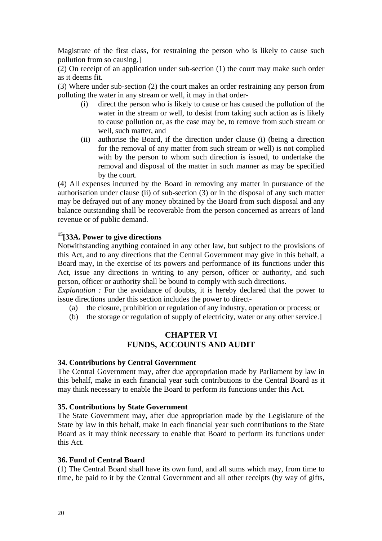Magistrate of the first class, for restraining the person who is likely to cause such pollution from so causing.]

(2) On receipt of an application under sub-section (1) the court may make such order as it deems fit.

(3) Where under sub-section (2) the court makes an order restraining any person from polluting the water in any stream or well, it may in that order-

- (i) direct the person who is likely to cause or has caused the pollution of the water in the stream or well, to desist from taking such action as is likely to cause pollution or, as the case may be, to remove from such stream or well, such matter, and
- (ii) authorise the Board, if the direction under clause (i) (being a direction for the removal of any matter from such stream or well) is not complied with by the person to whom such direction is issued, to undertake the removal and disposal of the matter in such manner as may be specified by the court.

(4) All expenses incurred by the Board in removing any matter in pursuance of the authorisation under clause (ii) of sub-section (3) or in the disposal of any such matter may be defrayed out of any money obtained by the Board from such disposal and any balance outstanding shall be recoverable from the person concerned as arrears of land revenue or of public demand.

## **15[33A. Power to give directions**

Notwithstanding anything contained in any other law, but subject to the provisions of this Act, and to any directions that the Central Government may give in this behalf, a Board may, in the exercise of its powers and performance of its functions under this Act, issue any directions in writing to any person, officer or authority, and such person, officer or authority shall be bound to comply with such directions.

*Explanation :* For the avoidance of doubts, it is hereby declared that the power to issue directions under this section includes the power to direct-

- (a) the closure, prohibition or regulation of any industry, operation or process; or
- (b) the storage or regulation of supply of electricity, water or any other service.]

## **CHAPTER VI FUNDS, ACCOUNTS AND AUDIT**

#### **34. Contributions by Central Government**

The Central Government may, after due appropriation made by Parliament by law in this behalf, make in each financial year such contributions to the Central Board as it may think necessary to enable the Board to perform its functions under this Act.

#### **35. Contributions by State Government**

The State Government may, after due appropriation made by the Legislature of the State by law in this behalf, make in each financial year such contributions to the State Board as it may think necessary to enable that Board to perform its functions under this Act.

#### **36. Fund of Central Board**

(1) The Central Board shall have its own fund, and all sums which may, from time to time, be paid to it by the Central Government and all other receipts (by way of gifts,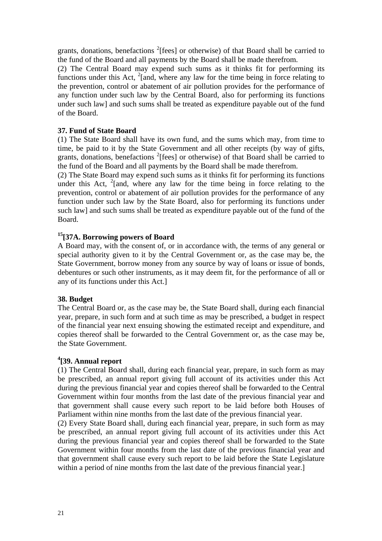grants, donations, benefactions  $2$ <sup>[fees]</sup> or otherwise) of that Board shall be carried to the fund of the Board and all payments by the Board shall be made therefrom.

(2) The Central Board may expend such sums as it thinks fit for performing its functions under this Act,  $^{2}$ [and, where any law for the time being in force relating to the prevention, control or abatement of air pollution provides for the performance of any function under such law by the Central Board, also for performing its functions under such law] and such sums shall be treated as expenditure payable out of the fund of the Board.

### **37. Fund of State Board**

(1) The State Board shall have its own fund, and the sums which may, from time to time, be paid to it by the State Government and all other receipts (by way of gifts, grants, donations, benefactions <sup>2</sup>[fees] or otherwise) of that Board shall be carried to the fund of the Board and all payments by the Board shall be made therefrom.

(2) The State Board may expend such sums as it thinks fit for performing its functions under this Act,  $2$ [and, where any law for the time being in force relating to the prevention, control or abatement of air pollution provides for the performance of any function under such law by the State Board, also for performing its functions under such law] and such sums shall be treated as expenditure payable out of the fund of the Board.

## **15[37A. Borrowing powers of Board**

A Board may, with the consent of, or in accordance with, the terms of any general or special authority given to it by the Central Government or, as the case may be, the State Government, borrow money from any source by way of loans or issue of bonds, debentures or such other instruments, as it may deem fit, for the performance of all or any of its functions under this Act.]

### **38. Budget**

The Central Board or, as the case may be, the State Board shall, during each financial year, prepare, in such form and at such time as may be prescribed, a budget in respect of the financial year next ensuing showing the estimated receipt and expenditure, and copies thereof shall be forwarded to the Central Government or, as the case may be, the State Government.

## **4 [39. Annual report**

(1) The Central Board shall, during each financial year, prepare, in such form as may be prescribed, an annual report giving full account of its activities under this Act during the previous financial year and copies thereof shall be forwarded to the Central Government within four months from the last date of the previous financial year and that government shall cause every such report to be laid before both Houses of Parliament within nine months from the last date of the previous financial year.

(2) Every State Board shall, during each financial year, prepare, in such form as may be prescribed, an annual report giving full account of its activities under this Act during the previous financial year and copies thereof shall be forwarded to the State Government within four months from the last date of the previous financial year and that government shall cause every such report to be laid before the State Legislature within a period of nine months from the last date of the previous financial year.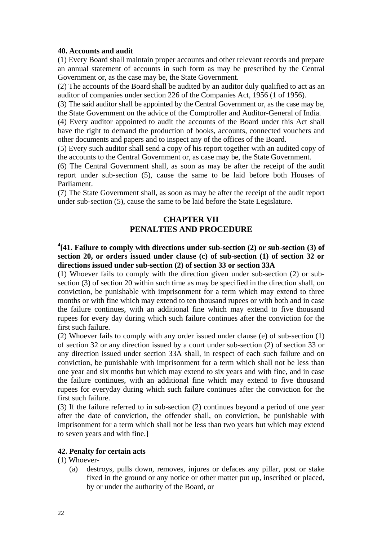#### **40. Accounts and audit**

(1) Every Board shall maintain proper accounts and other relevant records and prepare an annual statement of accounts in such form as may be prescribed by the Central Government or, as the case may be, the State Government.

(2) The accounts of the Board shall be audited by an auditor duly qualified to act as an auditor of companies under section 226 of the Companies Act, 1956 (1 of 1956).

(3) The said auditor shall be appointed by the Central Government or, as the case may be, the State Government on the advice of the Comptroller and Auditor-General of India.

(4) Every auditor appointed to audit the accounts of the Board under this Act shall have the right to demand the production of books, accounts, connected vouchers and other documents and papers and to inspect any of the offices of the Board.

(5) Every such auditor shall send a copy of his report together with an audited copy of the accounts to the Central Government or, as case may be, the State Government.

(6) The Central Government shall, as soon as may be after the receipt of the audit report under sub-section (5), cause the same to be laid before both Houses of Parliament.

(7) The State Government shall, as soon as may be after the receipt of the audit report under sub-section (5), cause the same to be laid before the State Legislature.

## **CHAPTER VII PENALTIES AND PROCEDURE**

## **4 [41. Failure to comply with directions under sub-section (2) or sub-section (3) of section 20, or orders issued under clause (c) of sub-section (1) of section 32 or directions issued under sub-section (2) of section 33 or section 33A**

(1) Whoever fails to comply with the direction given under sub-section (2) or subsection (3) of section 20 within such time as may be specified in the direction shall, on conviction, be punishable with imprisonment for a term which may extend to three months or with fine which may extend to ten thousand rupees or with both and in case the failure continues, with an additional fine which may extend to five thousand rupees for every day during which such failure continues after the conviction for the first such failure.

(2) Whoever fails to comply with any order issued under clause (e) of sub-section (1) of section 32 or any direction issued by a court under sub-section (2) of section 33 or any direction issued under section 33A shall, in respect of each such failure and on conviction, be punishable with imprisonment for a term which shall not be less than one year and six months but which may extend to six years and with fine, and in case the failure continues, with an additional fine which may extend to five thousand rupees for everyday during which such failure continues after the conviction for the first such failure.

(3) If the failure referred to in sub-section (2) continues beyond a period of one year after the date of conviction, the offender shall, on conviction, be punishable with imprisonment for a term which shall not be less than two years but which may extend to seven years and with fine.]

#### **42. Penalty for certain acts**

(1) Whoever-

(a) destroys, pulls down, removes, injures or defaces any pillar, post or stake fixed in the ground or any notice or other matter put up, inscribed or placed, by or under the authority of the Board, or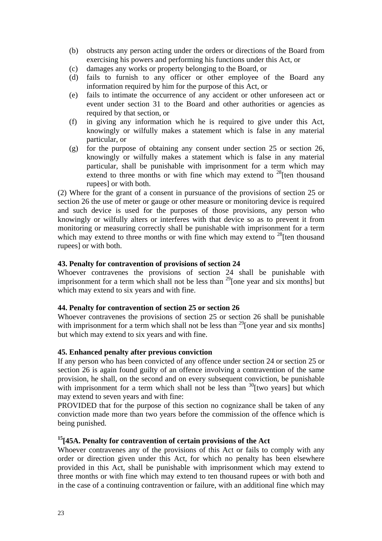- (b) obstructs any person acting under the orders or directions of the Board from exercising his powers and performing his functions under this Act, or
- (c) damages any works or property belonging to the Board, or
- (d) fails to furnish to any officer or other employee of the Board any information required by him for the purpose of this Act, or
- (e) fails to intimate the occurrence of any accident or other unforeseen act or event under section 31 to the Board and other authorities or agencies as required by that section, or
- (f) in giving any information which he is required to give under this Act, knowingly or wilfully makes a statement which is false in any material particular, or
- (g) for the purpose of obtaining any consent under section 25 or section 26, knowingly or wilfully makes a statement which is false in any material particular, shall be punishable with imprisonment for a term which may extend to three months or with fine which may extend to  $28$ [ten thousand rupees] or with both.

(2) Where for the grant of a consent in pursuance of the provisions of section 25 or section 26 the use of meter or gauge or other measure or monitoring device is required and such device is used for the purposes of those provisions, any person who knowingly or wilfully alters or interferes with that device so as to prevent it from monitoring or measuring correctly shall be punishable with imprisonment for a term which may extend to three months or with fine which may extend to  $28$ [ten thousand rupees] or with both.

### **43. Penalty for contravention of provisions of section 24**

Whoever contravenes the provisions of section 24 shall be punishable with imprisonment for a term which shall not be less than  $^{29}$ [one year and six months] but which may extend to six years and with fine.

#### **44. Penalty for contravention of section 25 or section 26**

Whoever contravenes the provisions of section 25 or section 26 shall be punishable with imprisonment for a term which shall not be less than  $^{29}$ [one year and six months] but which may extend to six years and with fine.

#### **45. Enhanced penalty after previous conviction**

If any person who has been convicted of any offence under section 24 or section 25 or section 26 is again found guilty of an offence involving a contravention of the same provision, he shall, on the second and on every subsequent conviction, be punishable with imprisonment for a term which shall not be less than  $\frac{30}{100}$  [two years] but which may extend to seven years and with fine:

PROVIDED that for the purpose of this section no cognizance shall be taken of any conviction made more than two years before the commission of the offence which is being punished.

## **15[45A. Penalty for contravention of certain provisions of the Act**

Whoever contravenes any of the provisions of this Act or fails to comply with any order or direction given under this Act, for which no penalty has been elsewhere provided in this Act, shall be punishable with imprisonment which may extend to three months or with fine which may extend to ten thousand rupees or with both and in the case of a continuing contravention or failure, with an additional fine which may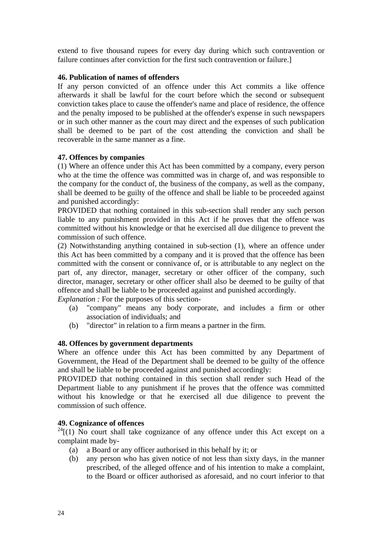extend to five thousand rupees for every day during which such contravention or failure continues after conviction for the first such contravention or failure.]

### **46. Publication of names of offenders**

If any person convicted of an offence under this Act commits a like offence afterwards it shall be lawful for the court before which the second or subsequent conviction takes place to cause the offender's name and place of residence, the offence and the penalty imposed to be published at the offender's expense in such newspapers or in such other manner as the court may direct and the expenses of such publication shall be deemed to be part of the cost attending the conviction and shall be recoverable in the same manner as a fine.

## **47. Offences by companies**

(1) Where an offence under this Act has been committed by a company, every person who at the time the offence was committed was in charge of, and was responsible to the company for the conduct of, the business of the company, as well as the company, shall be deemed to be guilty of the offence and shall be liable to be proceeded against and punished accordingly:

PROVIDED that nothing contained in this sub-section shall render any such person liable to any punishment provided in this Act if he proves that the offence was committed without his knowledge or that he exercised all due diligence to prevent the commission of such offence.

(2) Notwithstanding anything contained in sub-section (1), where an offence under this Act has been committed by a company and it is proved that the offence has been committed with the consent or connivance of, or is attributable to any neglect on the part of, any director, manager, secretary or other officer of the company, such director, manager, secretary or other officer shall also be deemed to be guilty of that offence and shall be liable to be proceeded against and punished accordingly.

*Explanation :* For the purposes of this section-

- (a) "company" means any body corporate, and includes a firm or other association of individuals; and
- (b) "director" in relation to a firm means a partner in the firm.

## **48. Offences by government departments**

Where an offence under this Act has been committed by any Department of Government, the Head of the Department shall be deemed to be guilty of the offence and shall be liable to be proceeded against and punished accordingly:

PROVIDED that nothing contained in this section shall render such Head of the Department liable to any punishment if he proves that the offence was committed without his knowledge or that he exercised all due diligence to prevent the commission of such offence.

## **49. Cognizance of offences**

 $^{24}$ [(1) No court shall take cognizance of any offence under this Act except on a complaint made by-

- (a) a Board or any officer authorised in this behalf by it; or
- (b) any person who has given notice of not less than sixty days, in the manner prescribed, of the alleged offence and of his intention to make a complaint, to the Board or officer authorised as aforesaid, and no court inferior to that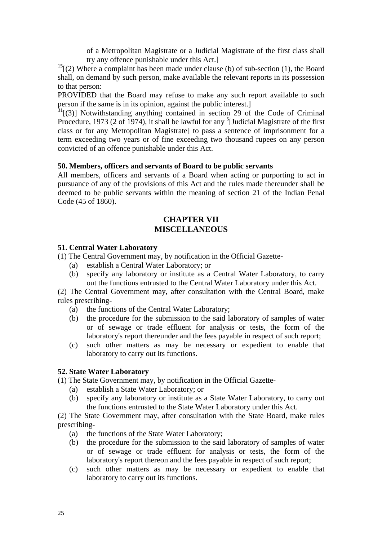of a Metropolitan Magistrate or a Judicial Magistrate of the first class shall try any offence punishable under this Act.]

 $15$ [(2) Where a complaint has been made under clause (b) of sub-section (1), the Board shall, on demand by such person, make available the relevant reports in its possession to that person:

PROVIDED that the Board may refuse to make any such report available to such person if the same is in its opinion, against the public interest.]

 $31$ [(3)] Notwithstanding anything contained in section 29 of the Code of Criminal Procedure, 1973 (2 of 1974), it shall be lawful for any  $<sup>5</sup>$ [Judicial Magistrate of the first</sup> class or for any Metropolitan Magistrate] to pass a sentence of imprisonment for a term exceeding two years or of fine exceeding two thousand rupees on any person convicted of an offence punishable under this Act.

#### **50. Members, officers and servants of Board to be public servants**

All members, officers and servants of a Board when acting or purporting to act in pursuance of any of the provisions of this Act and the rules made thereunder shall be deemed to be public servants within the meaning of section 21 of the Indian Penal Code (45 of 1860).

## **CHAPTER VII MISCELLANEOUS**

#### **51. Central Water Laboratory**

(1) The Central Government may, by notification in the Official Gazette-

- (a) establish a Central Water Laboratory; or
- (b) specify any laboratory or institute as a Central Water Laboratory, to carry out the functions entrusted to the Central Water Laboratory under this Act.

(2) The Central Government may, after consultation with the Central Board, make rules prescribing-

- (a) the functions of the Central Water Laboratory;
- (b) the procedure for the submission to the said laboratory of samples of water or of sewage or trade effluent for analysis or tests, the form of the laboratory's report thereunder and the fees payable in respect of such report;
- (c) such other matters as may be necessary or expedient to enable that laboratory to carry out its functions.

### **52. State Water Laboratory**

(1) The State Government may, by notification in the Official Gazette-

- (a) establish a State Water Laboratory; or
- (b) specify any laboratory or institute as a State Water Laboratory, to carry out the functions entrusted to the State Water Laboratory under this Act.
- (2) The State Government may, after consultation with the State Board, make rules prescribing-
	- (a) the functions of the State Water Laboratory;
	- (b) the procedure for the submission to the said laboratory of samples of water or of sewage or trade effluent for analysis or tests, the form of the laboratory's report thereon and the fees payable in respect of such report;
	- (c) such other matters as may be necessary or expedient to enable that laboratory to carry out its functions.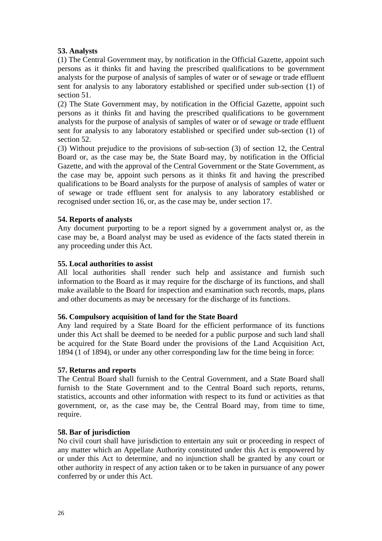## **53. Analysts**

(1) The Central Government may, by notification in the Official Gazette, appoint such persons as it thinks fit and having the prescribed qualifications to be government analysts for the purpose of analysis of samples of water or of sewage or trade effluent sent for analysis to any laboratory established or specified under sub-section (1) of section 51.

(2) The State Government may, by notification in the Official Gazette, appoint such persons as it thinks fit and having the prescribed qualifications to be government analysts for the purpose of analysis of samples of water or of sewage or trade effluent sent for analysis to any laboratory established or specified under sub-section (1) of section 52.

(3) Without prejudice to the provisions of sub-section (3) of section 12, the Central Board or, as the case may be, the State Board may, by notification in the Official Gazette, and with the approval of the Central Government or the State Government, as the case may be, appoint such persons as it thinks fit and having the prescribed qualifications to be Board analysts for the purpose of analysis of samples of water or of sewage or trade effluent sent for analysis to any laboratory established or recognised under section 16, or, as the case may be, under section 17.

### **54. Reports of analysts**

Any document purporting to be a report signed by a government analyst or, as the case may be, a Board analyst may be used as evidence of the facts stated therein in any proceeding under this Act.

### **55. Local authorities to assist**

All local authorities shall render such help and assistance and furnish such information to the Board as it may require for the discharge of its functions, and shall make available to the Board for inspection and examination such records, maps, plans and other documents as may be necessary for the discharge of its functions.

### **56. Compulsory acquisition of land for the State Board**

Any land required by a State Board for the efficient performance of its functions under this Act shall be deemed to be needed for a public purpose and such land shall be acquired for the State Board under the provisions of the Land Acquisition Act, 1894 (1 of 1894), or under any other corresponding law for the time being in force:

### **57. Returns and reports**

The Central Board shall furnish to the Central Government, and a State Board shall furnish to the State Government and to the Central Board such reports, returns, statistics, accounts and other information with respect to its fund or activities as that government, or, as the case may be, the Central Board may, from time to time, require.

### **58. Bar of jurisdiction**

No civil court shall have jurisdiction to entertain any suit or proceeding in respect of any matter which an Appellate Authority constituted under this Act is empowered by or under this Act to determine, and no injunction shall be granted by any court or other authority in respect of any action taken or to be taken in pursuance of any power conferred by or under this Act.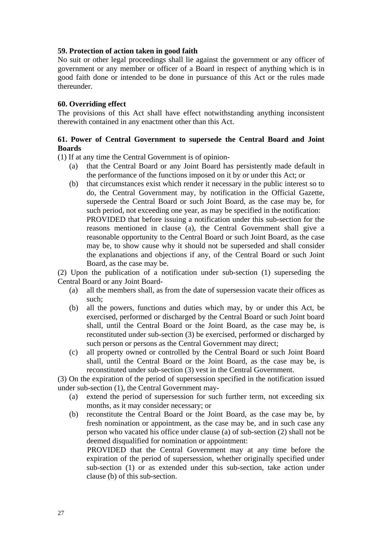## **59. Protection of action taken in good faith**

No suit or other legal proceedings shall lie against the government or any officer of government or any member or officer of a Board in respect of anything which is in good faith done or intended to be done in pursuance of this Act or the rules made thereunder.

## **60. Overriding effect**

The provisions of this Act shall have effect notwithstanding anything inconsistent therewith contained in any enactment other than this Act.

## **61. Power of Central Government to supersede the Central Board and Joint Boards**

(1) If at any time the Central Government is of opinion-

- (a) that the Central Board or any Joint Board has persistently made default in the performance of the functions imposed on it by or under this Act; or
- (b) that circumstances exist which render it necessary in the public interest so to do, the Central Government may, by notification in the Official Gazette, supersede the Central Board or such Joint Board, as the case may be, for such period, not exceeding one year, as may be specified in the notification: PROVIDED that before issuing a notification under this sub-section for the reasons mentioned in clause (a), the Central Government shall give a reasonable opportunity to the Central Board or such Joint Board, as the case may be, to show cause why it should not be superseded and shall consider the explanations and objections if any, of the Central Board or such Joint Board, as the case may be.

(2) Upon the publication of a notification under sub-section (1) superseding the Central Board or any Joint Board-

- (a) all the members shall, as from the date of supersession vacate their offices as such;
- (b) all the powers, functions and duties which may, by or under this Act, be exercised, performed or discharged by the Central Board or such Joint board shall, until the Central Board or the Joint Board, as the case may be, is reconstituted under sub-section (3) be exercised, performed or discharged by such person or persons as the Central Government may direct;
- (c) all property owned or controlled by the Central Board or such Joint Board shall, until the Central Board or the Joint Board, as the case may be, is reconstituted under sub-section (3) vest in the Central Government.

(3) On the expiration of the period of supersession specified in the notification issued under sub-section (1), the Central Government may-

- (a) extend the period of supersession for such further term, not exceeding six months, as it may consider necessary; or
- (b) reconstitute the Central Board or the Joint Board, as the case may be, by fresh nomination or appointment, as the case may be, and in such case any person who vacated his office under clause (a) of sub-section (2) shall not be deemed disqualified for nomination or appointment:

 PROVIDED that the Central Government may at any time before the expiration of the period of supersession, whether originally specified under sub-section (1) or as extended under this sub-section, take action under clause (b) of this sub-section.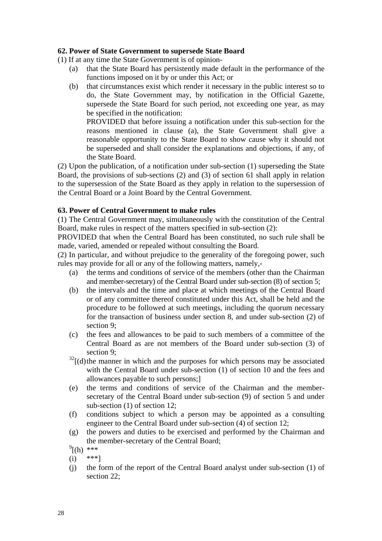## **62. Power of State Government to supersede State Board**

(1) If at any time the State Government is of opinion-

- (a) that the State Board has persistently made default in the performance of the functions imposed on it by or under this Act; or
- (b) that circumstances exist which render it necessary in the public interest so to do, the State Government may, by notification in the Official Gazette, supersede the State Board for such period, not exceeding one year, as may be specified in the notification:

 PROVIDED that before issuing a notification under this sub-section for the reasons mentioned in clause (a), the State Government shall give a reasonable opportunity to the State Board to show cause why it should not be superseded and shall consider the explanations and objections, if any, of the State Board.

(2) Upon the publication, of a notification under sub-section (1) superseding the State Board, the provisions of sub-sections (2) and (3) of section 61 shall apply in relation to the supersession of the State Board as they apply in relation to the supersession of the Central Board or a Joint Board by the Central Government.

## **63. Power of Central Government to make rules**

(1) The Central Government may, simultaneously with the constitution of the Central Board, make rules in respect of the matters specified in sub-section (2):

PROVIDED that when the Central Board has been constituted, no such rule shall be made, varied, amended or repealed without consulting the Board.

(2) In particular, and without prejudice to the generality of the foregoing power, such rules may provide for all or any of the following matters, namely,-

- (a) the terms and conditions of service of the members (other than the Chairman and member-secretary) of the Central Board under sub-section (8) of section 5;
- (b) the intervals and the time and place at which meetings of the Central Board or of any committee thereof constituted under this Act, shall be held and the procedure to be followed at such meetings, including the quorum necessary for the transaction of business under section 8, and under sub-section (2) of section 9;
- (c) the fees and allowances to be paid to such members of a committee of the Central Board as are not members of the Board under sub-section (3) of section 9;
- $32$ [(d) the manner in which and the purposes for which persons may be associated with the Central Board under sub-section (1) of section 10 and the fees and allowances payable to such persons;]
- (e) the terms and conditions of service of the Chairman and the membersecretary of the Central Board under sub-section (9) of section 5 and under sub-section (1) of section 12;
- (f) conditions subject to which a person may be appointed as a consulting engineer to the Central Board under sub-section (4) of section 12;
- (g) the powers and duties to be exercised and performed by the Chairman and the member-secretary of the Central Board;

(j) the form of the report of the Central Board analyst under sub-section (1) of section 22:

 $^{9}$ [(h) \*\*\*

 $(i)$  \*\*\*]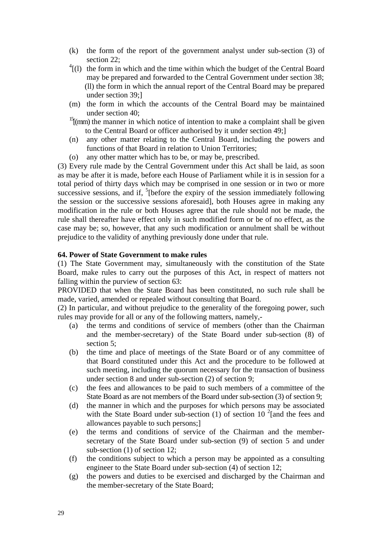- (k) the form of the report of the government analyst under sub-section (3) of section 22;
- $^{4}$ [(1) the form in which and the time within which the budget of the Central Board may be prepared and forwarded to the Central Government under section 38; (ll) the form in which the annual report of the Central Board may be prepared under section 39;]
- (m) the form in which the accounts of the Central Board may be maintained under section 40;
- $15$ [(mm) the manner in which notice of intention to make a complaint shall be given to the Central Board or officer authorised by it under section 49;]
- (n) any other matter relating to the Central Board, including the powers and functions of that Board in relation to Union Territories;
- (o) any other matter which has to be, or may be, prescribed.

(3) Every rule made by the Central Government under this Act shall be laid, as soon as may be after it is made, before each House of Parliament while it is in session for a total period of thirty days which may be comprised in one session or in two or more successive sessions, and if,  ${}^{5}$ [before the expiry of the session immediately following the session or the successive sessions aforesaid], both Houses agree in making any modification in the rule or both Houses agree that the rule should not be made, the rule shall thereafter have effect only in such modified form or be of no effect, as the case may be; so, however, that any such modification or annulment shall be without prejudice to the validity of anything previously done under that rule.

#### **64. Power of State Government to make rules**

(1) The State Government may, simultaneously with the constitution of the State Board, make rules to carry out the purposes of this Act, in respect of matters not falling within the purview of section 63:

PROVIDED that when the State Board has been constituted, no such rule shall be made, varied, amended or repealed without consulting that Board.

(2) In particular, and without prejudice to the generality of the foregoing power, such rules may provide for all or any of the following matters, namely,-

- (a) the terms and conditions of service of members (other than the Chairman and the member-secretary) of the State Board under sub-section (8) of section 5;
- (b) the time and place of meetings of the State Board or of any committee of that Board constituted under this Act and the procedure to be followed at such meeting, including the quorum necessary for the transaction of business under section 8 and under sub-section (2) of section 9;
- (c) the fees and allowances to be paid to such members of a committee of the State Board as are not members of the Board under sub-section (3) of section 9;
- (d) the manner in which and the purposes for which persons may be associated with the State Board under sub-section (1) of section 10<sup> $2$ </sup> [and the fees and allowances payable to such persons;]
- (e) the terms and conditions of service of the Chairman and the membersecretary of the State Board under sub-section (9) of section 5 and under sub-section (1) of section 12;
- (f) the conditions subject to which a person may be appointed as a consulting engineer to the State Board under sub-section (4) of section 12;
- (g) the powers and duties to be exercised and discharged by the Chairman and the member-secretary of the State Board;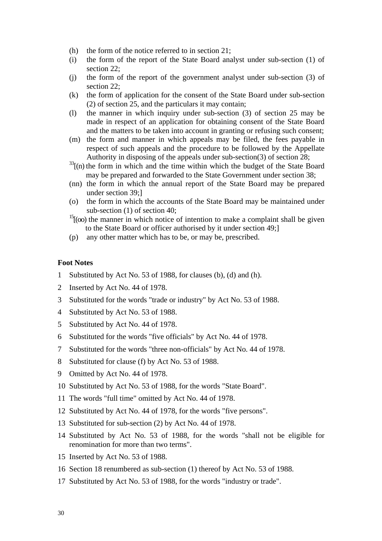- (h) the form of the notice referred to in section 21;
- (i) the form of the report of the State Board analyst under sub-section (1) of section 22;
- (j) the form of the report of the government analyst under sub-section (3) of section 22;
- (k) the form of application for the consent of the State Board under sub-section (2) of section 25, and the particulars it may contain;
- (l) the manner in which inquiry under sub-section (3) of section 25 may be made in respect of an application for obtaining consent of the State Board and the matters to be taken into account in granting or refusing such consent;
- (m) the form and manner in which appeals may be filed, the fees payable in respect of such appeals and the procedure to be followed by the Appellate Authority in disposing of the appeals under sub-section(3) of section 28;
- $33$ [(n) the form in which and the time within which the budget of the State Board may be prepared and forwarded to the State Government under section 38;
- (nn) the form in which the annual report of the State Board may be prepared under section 39;]
- (o) the form in which the accounts of the State Board may be maintained under sub-section (1) of section 40;
- $15$ [(oo) the manner in which notice of intention to make a complaint shall be given to the State Board or officer authorised by it under section 49;]
- (p) any other matter which has to be, or may be, prescribed.

#### **Foot Notes**

- 1 Substituted by Act No. 53 of 1988, for clauses (b), (d) and (h).
- 2 Inserted by Act No. 44 of 1978.
- 3 Substituted for the words "trade or industry" by Act No. 53 of 1988.
- 4 Substituted by Act No. 53 of 1988.
- 5 Substituted by Act No. 44 of 1978.
- 6 Substituted for the words "five officials" by Act No. 44 of 1978.
- 7 Substituted for the words "three non-officials" by Act No. 44 of 1978.
- 8 Substituted for clause (f) by Act No. 53 of 1988.
- 9 Omitted by Act No. 44 of 1978.
- 10 Substituted by Act No. 53 of 1988, for the words "State Board".
- 11 The words "full time" omitted by Act No. 44 of 1978.
- 12 Substituted by Act No. 44 of 1978, for the words "five persons".
- 13 Substituted for sub-section (2) by Act No. 44 of 1978.
- 14 Substituted by Act No. 53 of 1988, for the words "shall not be eligible for renomination for more than two terms".
- 15 Inserted by Act No. 53 of 1988.
- 16 Section 18 renumbered as sub-section (1) thereof by Act No. 53 of 1988.
- 17 Substituted by Act No. 53 of 1988, for the words "industry or trade".